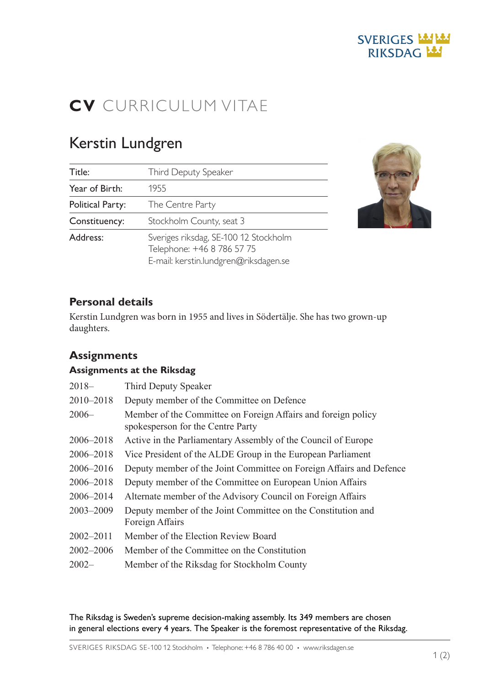# **SVERIGES LASTAS** RIKSDAG MA

# CV CURRICULUM VITAE

# Kerstin Lundgren

| Title:                  | Third Deputy Speaker                                                                                         |
|-------------------------|--------------------------------------------------------------------------------------------------------------|
| Year of Birth:          | 1955                                                                                                         |
| <b>Political Party:</b> | The Centre Party                                                                                             |
| Constituency:           | Stockholm County, seat 3                                                                                     |
| Address:                | Sveriges riksdag, SE-100 12 Stockholm<br>Telephone: +46 8 786 57 75<br>E-mail: kerstin.lundgren@riksdagen.se |



## Personal details

Kerstin Lundgren was born in 1955 and lives in Södertälje. She has two grown-up daughters.

## **Assignments**

#### Assignments at the Riksdag

| $2018-$       | Third Deputy Speaker                                                                               |
|---------------|----------------------------------------------------------------------------------------------------|
| 2010-2018     | Deputy member of the Committee on Defence                                                          |
| $2006-$       | Member of the Committee on Foreign Affairs and foreign policy<br>spokesperson for the Centre Party |
| 2006-2018     | Active in the Parliamentary Assembly of the Council of Europe                                      |
| 2006-2018     | Vice President of the ALDE Group in the European Parliament                                        |
| 2006–2016     | Deputy member of the Joint Committee on Foreign Affairs and Defence                                |
| 2006-2018     | Deputy member of the Committee on European Union Affairs                                           |
| 2006-2014     | Alternate member of the Advisory Council on Foreign Affairs                                        |
| 2003-2009     | Deputy member of the Joint Committee on the Constitution and<br>Foreign Affairs                    |
| $2002 - 2011$ | Member of the Election Review Board                                                                |
| 2002-2006     | Member of the Committee on the Constitution                                                        |
| $2002 -$      | Member of the Riksdag for Stockholm County                                                         |

The Riksdag is Sweden's supreme decision-making assembly. Its 349 members are chosen in general elections every 4 years. The Speaker is the foremost representative of the Riksdag.